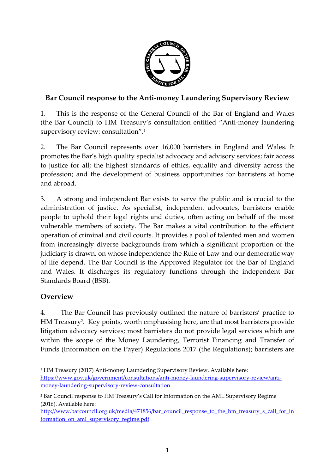

## **Bar Council response to the Anti-money Laundering Supervisory Review**

1. This is the response of the General Council of the Bar of England and Wales (the Bar Council) to HM Treasury's consultation entitled "Anti-money laundering supervisory review: consultation". 1

2. The Bar Council represents over 16,000 barristers in England and Wales. It promotes the Bar's high quality specialist advocacy and advisory services; fair access to justice for all; the highest standards of ethics, equality and diversity across the profession; and the development of business opportunities for barristers at home and abroad.

3. A strong and independent Bar exists to serve the public and is crucial to the administration of justice. As specialist, independent advocates, barristers enable people to uphold their legal rights and duties, often acting on behalf of the most vulnerable members of society. The Bar makes a vital contribution to the efficient operation of criminal and civil courts. It provides a pool of talented men and women from increasingly diverse backgrounds from which a significant proportion of the judiciary is drawn, on whose independence the Rule of Law and our democratic way of life depend. The Bar Council is the Approved Regulator for the Bar of England and Wales. It discharges its regulatory functions through the independent Bar Standards Board (BSB).

## **Overview**

4. The Bar Council has previously outlined the nature of barristers' practice to HM Treasury<sup>2</sup> . Key points, worth emphasising here, are that most barristers provide litigation advocacy services; most barristers do not provide legal services which are within the scope of the Money Laundering, Terrorist Financing and Transfer of Funds (Information on the Payer) Regulations 2017 (the Regulations); barristers are

 $\overline{a}$ <sup>1</sup> HM Treasury (2017) Anti-money Laundering Supervisory Review. Available here: [https://www.gov.uk/government/consultations/anti-money-laundering-supervisory-review/anti](https://www.gov.uk/government/consultations/anti-money-laundering-supervisory-review/anti-money-laundering-supervisory-review-consultation)[money-laundering-supervisory-review-consultation](https://www.gov.uk/government/consultations/anti-money-laundering-supervisory-review/anti-money-laundering-supervisory-review-consultation)

<sup>2</sup> Bar Council response to HM Treasury's Call for Information on the AML Supervisory Regime (2016). Available here:

[http://www.barcouncil.org.uk/media/471856/bar\\_council\\_response\\_to\\_the\\_hm\\_treasury\\_s\\_call\\_for\\_in](http://www.barcouncil.org.uk/media/471856/bar_council_response_to_the_hm_treasury_s_call_for_information_on_aml_supervisory_regime.pdf) [formation\\_on\\_aml\\_supervisory\\_regime.pdf](http://www.barcouncil.org.uk/media/471856/bar_council_response_to_the_hm_treasury_s_call_for_information_on_aml_supervisory_regime.pdf)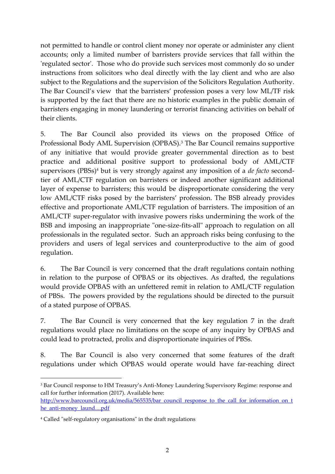not permitted to handle or control client money nor operate or administer any client accounts; only a limited number of barristers provide services that fall within the 'regulated sector'. Those who do provide such services most commonly do so under instructions from solicitors who deal directly with the lay client and who are also subject to the Regulations and the supervision of the Solicitors Regulation Authority. The Bar Council's view that the barristers' profession poses a very low ML/TF risk is supported by the fact that there are no historic examples in the public domain of barristers engaging in money laundering or terrorist financing activities on behalf of their clients.

5. The Bar Council also provided its views on the proposed Office of Professional Body AML Supervision (OPBAS).<sup>3</sup> The Bar Council remains supportive of any initiative that would provide greater governmental direction as to best practice and additional positive support to professional body of AML/CTF supervisors (PBSs) <sup>4</sup> but is very strongly against any imposition of a *de facto* secondtier of AML/CTF regulation on barristers or indeed another significant additional layer of expense to barristers; this would be disproportionate considering the very low AML/CTF risks posed by the barristers' profession. The BSB already provides effective and proportionate AML/CTF regulation of barristers. The imposition of an AML/CTF super-regulator with invasive powers risks undermining the work of the BSB and imposing an inappropriate "one-size-fits-all" approach to regulation on all professionals in the regulated sector. Such an approach risks being confusing to the providers and users of legal services and counterproductive to the aim of good regulation.

6. The Bar Council is very concerned that the draft regulations contain nothing in relation to the purpose of OPBAS or its objectives. As drafted, the regulations would provide OPBAS with an unfettered remit in relation to AML/CTF regulation of PBSs. The powers provided by the regulations should be directed to the pursuit of a stated purpose of OPBAS.

7. The Bar Council is very concerned that the key regulation 7 in the draft regulations would place no limitations on the scope of any inquiry by OPBAS and could lead to protracted, prolix and disproportionate inquiries of PBSs.

8. The Bar Council is also very concerned that some features of the draft regulations under which OPBAS would operate would have far-reaching direct

**.** 

<sup>3</sup> Bar Council response to HM Treasury's Anti-Money Laundering Supervisory Regime: response and call for further information (2017). Available here:

[http://www.barcouncil.org.uk/media/565535/bar\\_council\\_response\\_to\\_the\\_call\\_for\\_information\\_on\\_t](http://www.barcouncil.org.uk/media/565535/bar_council_response_to_the_call_for_information_on_the_anti-money_laund....pdf)\_ [he\\_anti-money\\_laund....pdf](http://www.barcouncil.org.uk/media/565535/bar_council_response_to_the_call_for_information_on_the_anti-money_laund....pdf)

<sup>4</sup> Called "self-regulatory organisations" in the draft regulations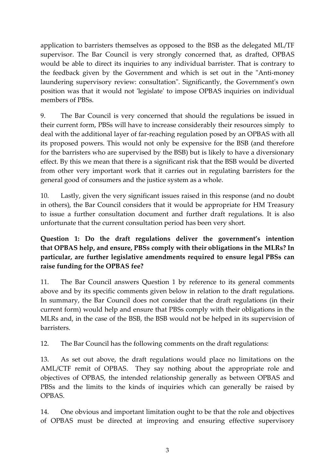application to barristers themselves as opposed to the BSB as the delegated ML/TF supervisor. The Bar Council is very strongly concerned that, as drafted, OPBAS would be able to direct its inquiries to any individual barrister. That is contrary to the feedback given by the Government and which is set out in the "Anti-money laundering supervisory review: consultation". Significantly, the Government's own position was that it would not 'legislate' to impose OPBAS inquiries on individual members of PBSs.

9. The Bar Council is very concerned that should the regulations be issued in their current form, PBSs will have to increase considerably their resources simply to deal with the additional layer of far-reaching regulation posed by an OPBAS with all its proposed powers. This would not only be expensive for the BSB (and therefore for the barristers who are supervised by the BSB) but is likely to have a diversionary effect. By this we mean that there is a significant risk that the BSB would be diverted from other very important work that it carries out in regulating barristers for the general good of consumers and the justice system as a whole.

10. Lastly, given the very significant issues raised in this response (and no doubt in others), the Bar Council considers that it would be appropriate for HM Treasury to issue a further consultation document and further draft regulations. It is also unfortunate that the current consultation period has been very short.

**Question 1: Do the draft regulations deliver the government's intention that OPBAS help, and ensure, PBSs comply with their obligations in the MLRs? In particular, are further legislative amendments required to ensure legal PBSs can raise funding for the OPBAS fee?**

11. The Bar Council answers Question 1 by reference to its general comments above and by its specific comments given below in relation to the draft regulations. In summary, the Bar Council does not consider that the draft regulations (in their current form) would help and ensure that PBSs comply with their obligations in the MLRs and, in the case of the BSB, the BSB would not be helped in its supervision of barristers.

12. The Bar Council has the following comments on the draft regulations:

13. As set out above, the draft regulations would place no limitations on the AML/CTF remit of OPBAS. They say nothing about the appropriate role and objectives of OPBAS, the intended relationship generally as between OPBAS and PBSs and the limits to the kinds of inquiries which can generally be raised by OPBAS.

14. One obvious and important limitation ought to be that the role and objectives of OPBAS must be directed at improving and ensuring effective supervisory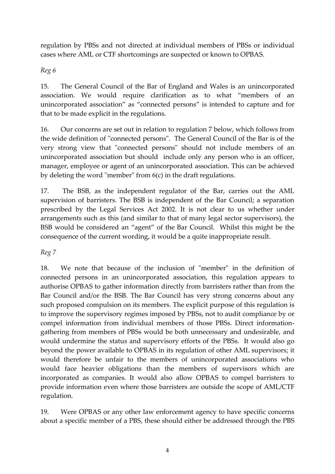regulation by PBSs and not directed at individual members of PBSs or individual cases where AML or CTF shortcomings are suspected or known to OPBAS.

*Reg 6*

15. The General Council of the Bar of England and Wales is an unincorporated association. We would require clarification as to what "members of an unincorporated association" as "connected persons" is intended to capture and for that to be made explicit in the regulations.

16. Our concerns are set out in relation to regulation 7 below, which follows from the wide definition of "connected persons". The General Council of the Bar is of the very strong view that "connected persons" should not include members of an unincorporated association but should include only any person who is an officer, manager, employee or agent of an unincorporated association. This can be achieved by deleting the word "member" from 6(c) in the draft regulations.

17. The BSB, as the independent regulator of the Bar, carries out the AML supervision of barristers. The BSB is independent of the Bar Council; a separation prescribed by the Legal Services Act 2002. It is not clear to us whether under arrangements such as this (and similar to that of many legal sector supervisors), the BSB would be considered an "agent" of the Bar Council. Whilst this might be the consequence of the current wording, it would be a quite inappropriate result.

*Reg 7*

18. We note that because of the inclusion of "member" in the definition of connected persons in an unincorporated association, this regulation appears to authorise OPBAS to gather information directly from barristers rather than from the Bar Council and/or the BSB. The Bar Council has very strong concerns about any such proposed compulsion on its members. The explicit purpose of this regulation is to improve the supervisory regimes imposed by PBSs, not to audit compliance by or compel information from individual members of those PBSs. Direct informationgathering from members of PBSs would be both unnecessary and undesirable, and would undermine the status and supervisory efforts of the PBSs. It would also go beyond the power available to OPBAS in its regulation of other AML supervisors; it would therefore be unfair to the members of unincorporated associations who would face heavier obligations than the members of supervisors which are incorporated as companies. It would also allow OPBAS to compel barristers to provide information even where those barristers are outside the scope of AML/CTF regulation.

19. Were OPBAS or any other law enforcement agency to have specific concerns about a specific member of a PBS, these should either be addressed through the PBS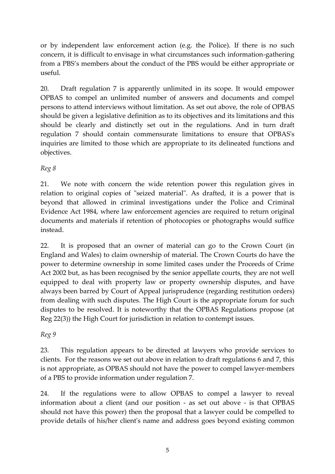or by independent law enforcement action (e.g. the Police). If there is no such concern, it is difficult to envisage in what circumstances such information-gathering from a PBS's members about the conduct of the PBS would be either appropriate or useful.

20. Draft regulation 7 is apparently unlimited in its scope. It would empower OPBAS to compel an unlimited number of answers and documents and compel persons to attend interviews without limitation. As set out above, the role of OPBAS should be given a legislative definition as to its objectives and its limitations and this should be clearly and distinctly set out in the regulations. And in turn draft regulation 7 should contain commensurate limitations to ensure that OPBAS's inquiries are limited to those which are appropriate to its delineated functions and objectives.

*Reg 8*

21. We note with concern the wide retention power this regulation gives in relation to original copies of "seized material". As drafted, it is a power that is beyond that allowed in criminal investigations under the Police and Criminal Evidence Act 1984, where law enforcement agencies are required to return original documents and materials if retention of photocopies or photographs would suffice instead.

22. It is proposed that an owner of material can go to the Crown Court (in England and Wales) to claim ownership of material. The Crown Courts do have the power to determine ownership in some limited cases under the Proceeds of Crime Act 2002 but, as has been recognised by the senior appellate courts, they are not well equipped to deal with property law or property ownership disputes, and have always been barred by Court of Appeal jurisprudence (regarding restitution orders) from dealing with such disputes. The High Court is the appropriate forum for such disputes to be resolved. It is noteworthy that the OPBAS Regulations propose (at Reg 22(3)) the High Court for jurisdiction in relation to contempt issues.

*Reg 9*

23. This regulation appears to be directed at lawyers who provide services to clients. For the reasons we set out above in relation to draft regulations 6 and 7, this is not appropriate, as OPBAS should not have the power to compel lawyer-members of a PBS to provide information under regulation 7.

24. If the regulations were to allow OPBAS to compel a lawyer to reveal information about a client (and our position - as set out above - is that OPBAS should not have this power) then the proposal that a lawyer could be compelled to provide details of his/her client's name and address goes beyond existing common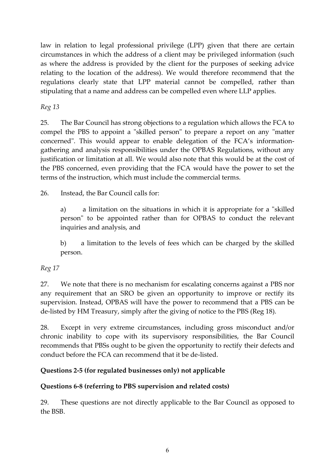law in relation to legal professional privilege (LPP) given that there are certain circumstances in which the address of a client may be privileged information (such as where the address is provided by the client for the purposes of seeking advice relating to the location of the address). We would therefore recommend that the regulations clearly state that LPP material cannot be compelled, rather than stipulating that a name and address can be compelled even where LLP applies.

*Reg 13*

25. The Bar Council has strong objections to a regulation which allows the FCA to compel the PBS to appoint a "skilled person" to prepare a report on any "matter concerned". This would appear to enable delegation of the FCA's informationgathering and analysis responsibilities under the OPBAS Regulations, without any justification or limitation at all. We would also note that this would be at the cost of the PBS concerned, even providing that the FCA would have the power to set the terms of the instruction, which must include the commercial terms.

26. Instead, the Bar Council calls for:

a) a limitation on the situations in which it is appropriate for a "skilled person" to be appointed rather than for OPBAS to conduct the relevant inquiries and analysis, and

b) a limitation to the levels of fees which can be charged by the skilled person.

*Reg 17*

27. We note that there is no mechanism for escalating concerns against a PBS nor any requirement that an SRO be given an opportunity to improve or rectify its supervision. Instead, OPBAS will have the power to recommend that a PBS can be de-listed by HM Treasury, simply after the giving of notice to the PBS (Reg 18).

28. Except in very extreme circumstances, including gross misconduct and/or chronic inability to cope with its supervisory responsibilities, the Bar Council recommends that PBSs ought to be given the opportunity to rectify their defects and conduct before the FCA can recommend that it be de-listed.

## **Questions 2-5 (for regulated businesses only) not applicable**

## **Questions 6-8 (referring to PBS supervision and related costs)**

29. These questions are not directly applicable to the Bar Council as opposed to the BSB.